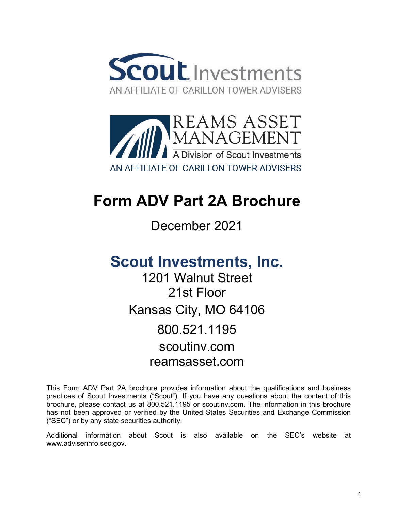



# **Form ADV Part 2A Brochure**

December 2021

# **Scout Investments, Inc.**

1201 Walnut Street 21st Floor Kansas City, MO 64106 800.521.1195 scoutinv.com reamsasset.com

This Form ADV Part 2A brochure provides information about the qualifications and business practices of Scout Investments ("Scout"). If you have any questions about the content of this brochure, please contact us at 800.521.1195 or scoutinv.com. The information in this brochure has not been approved or verified by the United States Securities and Exchange Commission ("SEC") or by any state securities authority.

Additional information about Scout is also available on the SEC's website at [www.adviserinfo.sec.gov.](http://www.adviserinfo.sec.gov/)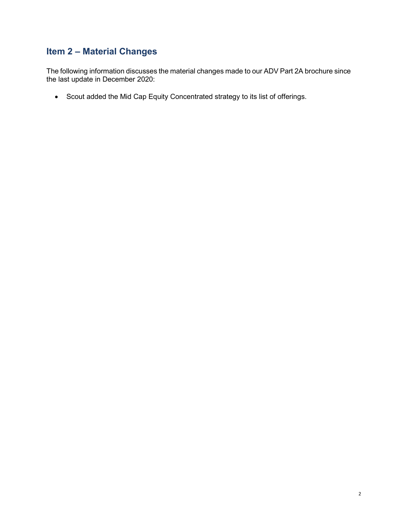# **Item 2 – Material Changes**

The following information discusses the material changes made to our ADV Part 2A brochure since the last update in December 2020:

• Scout added the Mid Cap Equity Concentrated strategy to its list of offerings.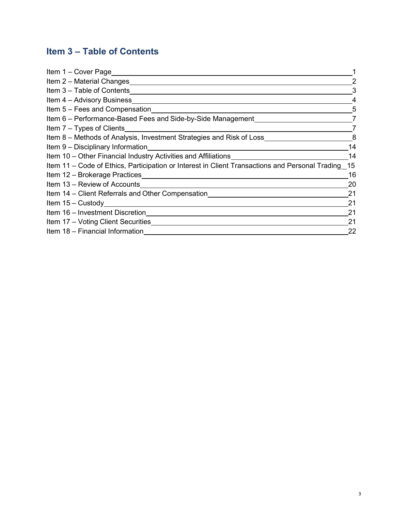# **Item 3 – Table of Contents**

| Item 1 - Cover Page                                                                                                                                                                                                                |    |
|------------------------------------------------------------------------------------------------------------------------------------------------------------------------------------------------------------------------------------|----|
| Item 2 – Material Changes                                                                                                                                                                                                          |    |
| Item 3 - Table of Contents                                                                                                                                                                                                         | 3  |
| Item 4 – Advisory Business                                                                                                                                                                                                         |    |
| Item 5 – Fees and Compensation                                                                                                                                                                                                     | 5  |
| Item 6 - Performance-Based Fees and Side-by-Side Management                                                                                                                                                                        |    |
| Item 7 – Types of Clients <b>Example 20</b> in the set of the set of the set of the set of the set of the set of the set of the set of the set of the set of the set of the set of the set of the set of the set of the set of the |    |
| Item 8 - Methods of Analysis, Investment Strategies and Risk of Loss                                                                                                                                                               | 8  |
| Item 9 – Disciplinary Information                                                                                                                                                                                                  | 14 |
| Item 10 - Other Financial Industry Activities and Affiliations                                                                                                                                                                     | 14 |
| Item 11 - Code of Ethics, Participation or Interest in Client Transactions and Personal Trading_15                                                                                                                                 |    |
| Item 12 - Brokerage Practices                                                                                                                                                                                                      | 16 |
| Item 13 – Review of Accounts                                                                                                                                                                                                       | 20 |
| Item 14 – Client Referrals and Other Compensation                                                                                                                                                                                  | 21 |
| Item 15 - Custody                                                                                                                                                                                                                  | 21 |
| Item 16 - Investment Discretion                                                                                                                                                                                                    | 21 |
| Item 17 - Voting Client Securities                                                                                                                                                                                                 | 21 |
| Item 18 - Financial Information                                                                                                                                                                                                    | 22 |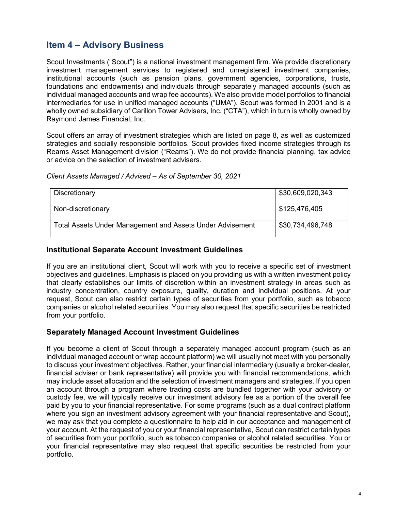# **Item 4 – Advisory Business**

Scout Investments ("Scout") is a national investment management firm. We provide discretionary investment management services to registered and unregistered investment companies, institutional accounts (such as pension plans, government agencies, corporations, trusts, foundations and endowments) and individuals through separately managed accounts (such as individual managed accounts and wrap fee accounts). We also provide model portfolios to financial intermediaries for use in unified managed accounts ("UMA"). Scout was formed in 2001 and is a wholly owned subsidiary of Carillon Tower Advisers, Inc. ("CTA"), which in turn is wholly owned by Raymond James Financial, Inc.

Scout offers an array of investment strategies which are listed on page 8, as well as customized strategies and socially responsible portfolios. Scout provides fixed income strategies through its Reams Asset Management division ("Reams"). We do not provide financial planning, tax advice or advice on the selection of investment advisers.

| Discretionary                                                    | \$30,609,020,343 |
|------------------------------------------------------------------|------------------|
| Non-discretionary                                                | ∫ \$125,476,405  |
| <b>Total Assets Under Management and Assets Under Advisement</b> | \$30,734,496,748 |

#### *Client Assets Managed / Advised* – *As of September 30, 2021*

#### **Institutional Separate Account Investment Guidelines**

If you are an institutional client, Scout will work with you to receive a specific set of investment objectives and guidelines. Emphasis is placed on you providing us with a written investment policy that clearly establishes our limits of discretion within an investment strategy in areas such as industry concentration, country exposure, quality, duration and individual positions. At your request, Scout can also restrict certain types of securities from your portfolio, such as tobacco companies or alcohol related securities. You may also request that specific securities be restricted from your portfolio.

#### **Separately Managed Account Investment Guidelines**

If you become a client of Scout through a separately managed account program (such as an individual managed account or wrap account platform) we will usually not meet with you personally to discuss your investment objectives. Rather, your financial intermediary (usually a broker-dealer, financial adviser or bank representative) will provide you with financial recommendations, which may include asset allocation and the selection of investment managers and strategies. If you open an account through a program where trading costs are bundled together with your advisory or custody fee, we will typically receive our investment advisory fee as a portion of the overall fee paid by you to your financial representative. For some programs (such as a dual contract platform where you sign an investment advisory agreement with your financial representative and Scout), we may ask that you complete a questionnaire to help aid in our acceptance and management of your account. At the request of you or your financial representative, Scout can restrict certain types of securities from your portfolio, such as tobacco companies or alcohol related securities. You or your financial representative may also request that specific securities be restricted from your portfolio.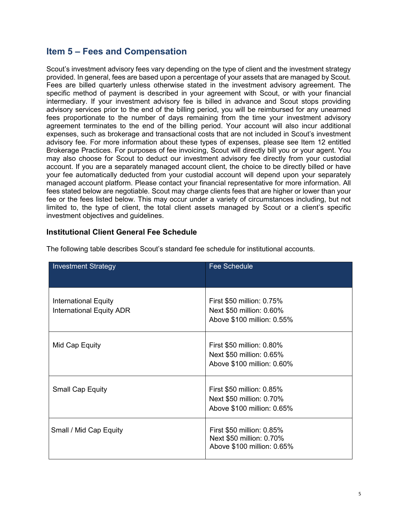# **Item 5 – Fees and Compensation**

Scout's investment advisory fees vary depending on the type of client and the investment strategy provided. In general, fees are based upon a percentage of your assets that are managed by Scout. Fees are billed quarterly unless otherwise stated in the investment advisory agreement. The specific method of payment is described in your agreement with Scout, or with your financial intermediary. If your investment advisory fee is billed in advance and Scout stops providing advisory services prior to the end of the billing period, you will be reimbursed for any unearned fees proportionate to the number of days remaining from the time your investment advisory agreement terminates to the end of the billing period. Your account will also incur additional expenses, such as brokerage and transactional costs that are not included in Scout's investment advisory fee. For more information about these types of expenses, please see Item 12 entitled Brokerage Practices. For purposes of fee invoicing, Scout will directly bill you or your agent. You may also choose for Scout to deduct our investment advisory fee directly from your custodial account. If you are a separately managed account client, the choice to be directly billed or have your fee automatically deducted from your custodial account will depend upon your separately managed account platform. Please contact your financial representative for more information. All fees stated below are negotiable. Scout may charge clients fees that are higher or lower than your fee or the fees listed below. This may occur under a variety of circumstances including, but not limited to, the type of client, the total client assets managed by Scout or a client's specific investment objectives and guidelines.

#### **Institutional Client General Fee Schedule**

| <b>Investment Strategy</b>                                     | <b>Fee Schedule</b>                                                                 |
|----------------------------------------------------------------|-------------------------------------------------------------------------------------|
| <b>International Equity</b><br><b>International Equity ADR</b> | First \$50 million: 0.75%<br>Next \$50 million: 0.60%<br>Above \$100 million: 0.55% |
| Mid Cap Equity                                                 | First \$50 million: 0.80%<br>Next \$50 million: 0.65%<br>Above \$100 million: 0.60% |
| <b>Small Cap Equity</b>                                        | First \$50 million: 0.85%<br>Next \$50 million: 0.70%<br>Above \$100 million: 0.65% |
| Small / Mid Cap Equity                                         | First \$50 million: 0.85%<br>Next \$50 million: 0.70%<br>Above \$100 million: 0.65% |

The following table describes Scout's standard fee schedule for institutional accounts.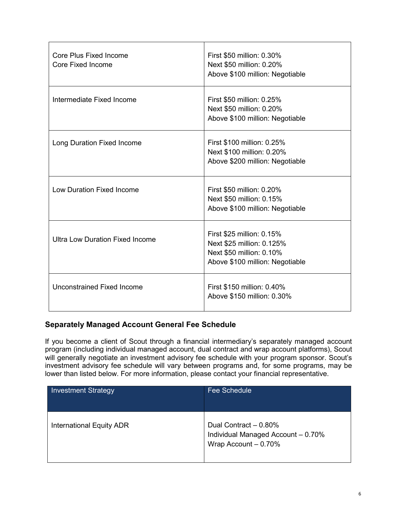| <b>Core Plus Fixed Income</b><br>Core Fixed Income | First \$50 million: 0.30%<br>Next \$50 million: 0.20%<br>Above \$100 million: Negotiable                              |
|----------------------------------------------------|-----------------------------------------------------------------------------------------------------------------------|
| Intermediate Fixed Income                          | First \$50 million: 0.25%<br>Next \$50 million: 0.20%<br>Above \$100 million: Negotiable                              |
| Long Duration Fixed Income                         | First \$100 million: 0.25%<br>Next \$100 million: 0.20%<br>Above \$200 million: Negotiable                            |
| Low Duration Fixed Income                          | First \$50 million: 0.20%<br>Next \$50 million: 0.15%<br>Above \$100 million: Negotiable                              |
| <b>Ultra Low Duration Fixed Income</b>             | First \$25 million: 0.15%<br>Next \$25 million: 0.125%<br>Next \$50 million: 0.10%<br>Above \$100 million: Negotiable |
| Unconstrained Fixed Income                         | First \$150 million: 0.40%<br>Above \$150 million: 0.30%                                                              |

### **Separately Managed Account General Fee Schedule**

If you become a client of Scout through a financial intermediary's separately managed account program (including individual managed account, dual contract and wrap account platforms), Scout will generally negotiate an investment advisory fee schedule with your program sponsor. Scout's investment advisory fee schedule will vary between programs and, for some programs, may be lower than listed below. For more information, please contact your financial representative.

| <b>Investment Strategy</b> | <b>Fee Schedule</b>                                                                  |
|----------------------------|--------------------------------------------------------------------------------------|
| International Equity ADR   | Dual Contract - 0.80%<br>Individual Managed Account - 0.70%<br>Wrap Account $-0.70%$ |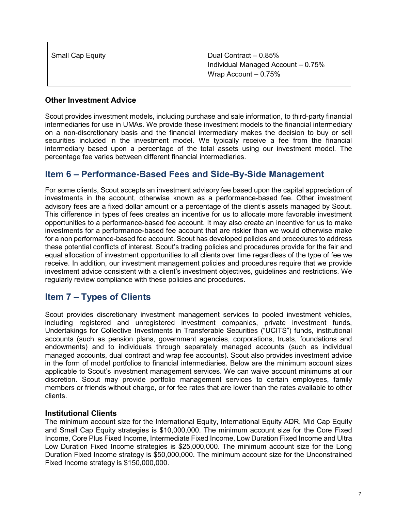| Small Cap Equity | Dual Contract - 0.85%              |
|------------------|------------------------------------|
|                  | Individual Managed Account - 0.75% |
|                  | Wrap Account $-0.75%$              |
|                  |                                    |

#### **Other Investment Advice**

Scout provides investment models, including purchase and sale information, to third-party financial intermediaries for use in UMAs. We provide these investment models to the financial intermediary on a non-discretionary basis and the financial intermediary makes the decision to buy or sell securities included in the investment model. We typically receive a fee from the financial intermediary based upon a percentage of the total assets using our investment model. The percentage fee varies between different financial intermediaries.

# **Item 6 – Performance-Based Fees and Side-By-Side Management**

For some clients, Scout accepts an investment advisory fee based upon the capital appreciation of investments in the account, otherwise known as a performance-based fee. Other investment advisory fees are a fixed dollar amount or a percentage of the client's assets managed by Scout. This difference in types of fees creates an incentive for us to allocate more favorable investment opportunities to a performance-based fee account. It may also create an incentive for us to make investments for a performance-based fee account that are riskier than we would otherwise make for a non performance-based fee account. Scout has developed policies and procedures to address these potential conflicts of interest. Scout's trading policies and procedures provide for the fair and equal allocation of investment opportunities to all clients over time regardless of the type of fee we receive. In addition, our investment management policies and procedures require that we provide investment advice consistent with a client's investment objectives, guidelines and restrictions. We regularly review compliance with these policies and procedures.

# **Item 7 – Types of Clients**

Scout provides discretionary investment management services to pooled investment vehicles, including registered and unregistered investment companies, private investment funds, Undertakings for Collective Investments in Transferable Securities ("UCITS") funds, institutional accounts (such as pension plans, government agencies, corporations, trusts, foundations and endowments) and to individuals through separately managed accounts (such as individual managed accounts, dual contract and wrap fee accounts). Scout also provides investment advice in the form of model portfolios to financial intermediaries. Below are the minimum account sizes applicable to Scout's investment management services. We can waive account minimums at our discretion. Scout may provide portfolio management services to certain employees, family members or friends without charge, or for fee rates that are lower than the rates available to other clients.

#### **Institutional Clients**

The minimum account size for the International Equity, International Equity ADR, Mid Cap Equity and Small Cap Equity strategies is \$10,000,000. The minimum account size for the Core Fixed Income, Core Plus Fixed Income, Intermediate Fixed Income, Low Duration Fixed Income and Ultra Low Duration Fixed Income strategies is \$25,000,000. The minimum account size for the Long Duration Fixed Income strategy is \$50,000,000. The minimum account size for the Unconstrained Fixed Income strategy is \$150,000,000.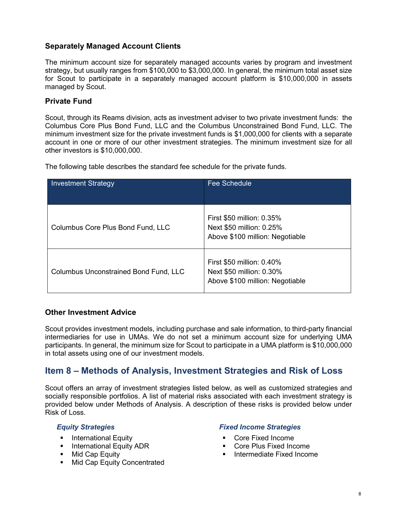#### **Separately Managed Account Clients**

The minimum account size for separately managed accounts varies by program and investment strategy, but usually ranges from \$100,000 to \$3,000,000. In general, the minimum total asset size for Scout to participate in a separately managed account platform is \$10,000,000 in assets managed by Scout.

#### **Private Fund**

Scout, through its Reams division, acts as investment adviser to two private investment funds: the Columbus Core Plus Bond Fund, LLC and the Columbus Unconstrained Bond Fund, LLC. The minimum investment size for the private investment funds is \$1,000,000 for clients with a separate account in one or more of our other investment strategies. The minimum investment size for all other investors is \$10,000,000.

The following table describes the standard fee schedule for the private funds.

| <b>Investment Strategy</b>                   | <b>Fee Schedule</b>                                                                      |
|----------------------------------------------|------------------------------------------------------------------------------------------|
| Columbus Core Plus Bond Fund, LLC            | First \$50 million: 0.35%<br>Next \$50 million: 0.25%<br>Above \$100 million: Negotiable |
| <b>Columbus Unconstrained Bond Fund, LLC</b> | First \$50 million: 0.40%<br>Next \$50 million: 0.30%<br>Above \$100 million: Negotiable |

#### **Other Investment Advice**

Scout provides investment models, including purchase and sale information, to third-party financial intermediaries for use in UMAs. We do not set a minimum account size for underlying UMA participants. In general, the minimum size for Scout to participate in a UMA platform is \$10,000,000 in total assets using one of our investment models.

# **Item 8 – Methods of Analysis, Investment Strategies and Risk of Loss**

Scout offers an array of investment strategies listed below, as well as customized strategies and socially responsible portfolios. A list of material risks associated with each investment strategy is provided below under Methods of Analysis. A description of these risks is provided below under Risk of Loss.

- 
- $\blacksquare$  International Equity ADR
- **Mid Cap Equity**
- **Mid Cap Equity Concentrated**

#### *Equity Strategies Fixed Income Strategies*

- 
- International Equity<br>■ International Equity ADR Core Plus Fixed Income
	- **Intermediate Fixed Income**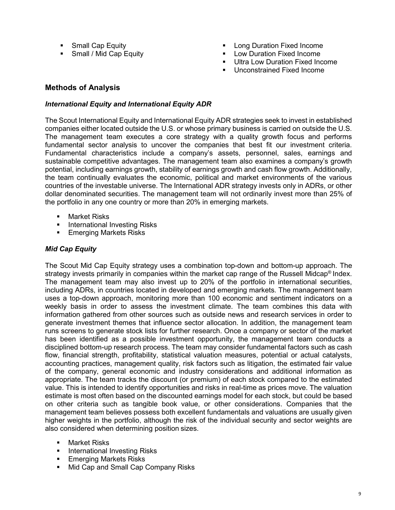- 
- 
- Small Cap Equity Long Duration Fixed Income
	- **EXP** Low Duration Fixed Income
	- **Ultra Low Duration Fixed Income**
	- **Unconstrained Fixed Income**

#### **Methods of Analysis**

#### *International Equity and International Equity ADR*

The Scout International Equity and International Equity ADR strategies seek to invest in established companies either located outside the U.S. or whose primary business is carried on outside the U.S. The management team executes a core strategy with a quality growth focus and performs fundamental sector analysis to uncover the companies that best fit our investment criteria. Fundamental characteristics include a company's assets, personnel, sales, earnings and sustainable competitive advantages. The management team also examines a company's growth potential, including earnings growth, stability of earnings growth and cash flow growth. Additionally, the team continually evaluates the economic, political and market environments of the various countries of the investable universe. The International ADR strategy invests only in ADRs, or other dollar denominated securities. The management team will not ordinarily invest more than 25% of the portfolio in any one country or more than 20% in emerging markets.

- **Narket Risks**
- International Investing Risks
- **Emerging Markets Risks**

#### *Mid Cap Equity*

The Scout Mid Cap Equity strategy uses a combination top-down and bottom-up approach. The strategy invests primarily in companies within the market cap range of the Russell Midcap<sup>®</sup> Index. The management team may also invest up to 20% of the portfolio in international securities, including ADRs, in countries located in developed and emerging markets. The management team uses a top-down approach, monitoring more than 100 economic and sentiment indicators on a weekly basis in order to assess the investment climate. The team combines this data with information gathered from other sources such as outside news and research services in order to generate investment themes that influence sector allocation. In addition, the management team runs screens to generate stock lists for further research. Once a company or sector of the market has been identified as a possible investment opportunity, the management team conducts a disciplined bottom-up research process. The team may consider fundamental factors such as cash flow, financial strength, profitability, statistical valuation measures, potential or actual catalysts, accounting practices, management quality, risk factors such as litigation, the estimated fair value of the company, general economic and industry considerations and additional information as appropriate. The team tracks the discount (or premium) of each stock compared to the estimated value. This is intended to identify opportunities and risks in real-time as prices move. The valuation estimate is most often based on the discounted earnings model for each stock, but could be based on other criteria such as tangible book value, or other considerations. Companies that the management team believes possess both excellent fundamentals and valuations are usually given higher weights in the portfolio, although the risk of the individual security and sector weights are also considered when determining position sizes.

- **Narket Risks**
- International Investing Risks
- **Emerging Markets Risks**
- **Mid Cap and Small Cap Company Risks**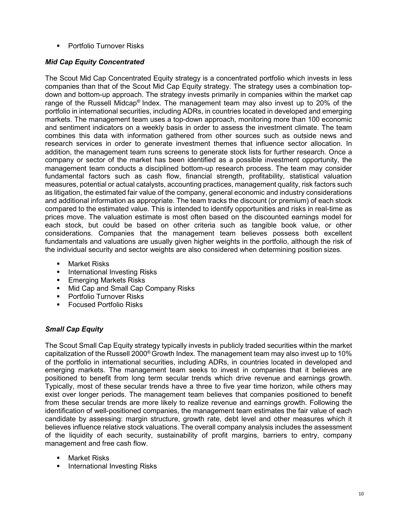**• Portfolio Turnover Risks** 

### *Mid Cap Equity Concentrated*

The Scout Mid Cap Concentrated Equity strategy is a concentrated portfolio which invests in less companies than that of the Scout Mid Cap Equity strategy. The strategy uses a combination topdown and bottom-up approach. The strategy invests primarily in companies within the market cap range of the Russell Midcap® Index. The management team may also invest up to 20% of the portfolio in international securities, including ADRs, in countries located in developed and emerging markets. The management team uses a top-down approach, monitoring more than 100 economic and sentiment indicators on a weekly basis in order to assess the investment climate. The team combines this data with information gathered from other sources such as outside news and research services in order to generate investment themes that influence sector allocation. In addition, the management team runs screens to generate stock lists for further research. Once a company or sector of the market has been identified as a possible investment opportunity, the management team conducts a disciplined bottom-up research process. The team may consider fundamental factors such as cash flow, financial strength, profitability, statistical valuation measures, potential or actual catalysts, accounting practices, management quality, risk factors such as litigation, the estimated fair value of the company, general economic and industry considerations and additional information as appropriate. The team tracks the discount (or premium) of each stock compared to the estimated value. This is intended to identify opportunities and risks in real-time as prices move. The valuation estimate is most often based on the discounted earnings model for each stock, but could be based on other criteria such as tangible book value, or other considerations. Companies that the management team believes possess both excellent fundamentals and valuations are usually given higher weights in the portfolio, although the risk of the individual security and sector weights are also considered when determining position sizes.

- Market Risks
- International Investing Risks
- **Emerging Markets Risks**
- **Mid Cap and Small Cap Company Risks**
- **Portfolio Turnover Risks**
- Focused Portfolio Risks

### *Small Cap Equity*

The Scout Small Cap Equity strategy typically invests in publicly traded securities within the market capitalization of the Russell 2000® Growth Index. The management team may also invest up to 10% of the portfolio in international securities, including ADRs, in countries located in developed and emerging markets. The management team seeks to invest in companies that it believes are positioned to benefit from long term secular trends which drive revenue and earnings growth. Typically, most of these secular trends have a three to five year time horizon, while others may exist over longer periods. The management team believes that companies positioned to benefit from these secular trends are more likely to realize revenue and earnings growth. Following the identification of well-positioned companies, the management team estimates the fair value of each candidate by assessing: margin structure, growth rate, debt level and other measures which it believes influence relative stock valuations. The overall company analysis includes the assessment of the liquidity of each security, sustainability of profit margins, barriers to entry, company management and free cash flow.

- Market Risks
- International Investing Risks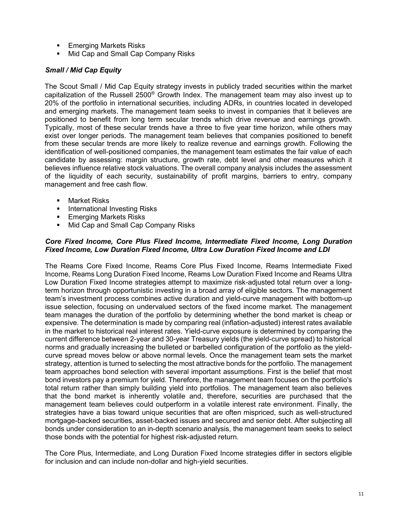- **Emerging Markets Risks**
- Mid Cap and Small Cap Company Risks

#### *Small / Mid Cap Equity*

The Scout Small / Mid Cap Equity strategy invests in publicly traded securities within the market capitalization of the Russell 2500® Growth Index. The management team may also invest up to 20% of the portfolio in international securities, including ADRs, in countries located in developed and emerging markets. The management team seeks to invest in companies that it believes are positioned to benefit from long term secular trends which drive revenue and earnings growth. Typically, most of these secular trends have a three to five year time horizon, while others may exist over longer periods. The management team believes that companies positioned to benefit from these secular trends are more likely to realize revenue and earnings growth. Following the identification of well-positioned companies, the management team estimates the fair value of each candidate by assessing: margin structure, growth rate, debt level and other measures which it believes influence relative stock valuations. The overall company analysis includes the assessment of the liquidity of each security, sustainability of profit margins, barriers to entry, company management and free cash flow.

- Market Risks
- **International Investing Risks**
- Emerging Markets Risks
- Mid Cap and Small Cap Company Risks

#### *Core Fixed Income, Core Plus Fixed Income, Intermediate Fixed Income, Long Duration Fixed Income, Low Duration Fixed Income, Ultra Low Duration Fixed Income and LDI*

The Reams Core Fixed Income, Reams Core Plus Fixed Income, Reams Intermediate Fixed Income, Reams Long Duration Fixed Income, Reams Low Duration Fixed Income and Reams Ultra Low Duration Fixed Income strategies attempt to maximize risk-adjusted total return over a longterm horizon through opportunistic investing in a broad array of eligible sectors. The management team's investment process combines active duration and yield-curve management with bottom-up issue selection, focusing on undervalued sectors of the fixed income market. The management team manages the duration of the portfolio by determining whether the bond market is cheap or expensive. The determination is made by comparing real (inflation-adjusted) interest rates available in the market to historical real interest rates. Yield-curve exposure is determined by comparing the current difference between 2-year and 30-year Treasury yields (the yield-curve spread) to historical norms and gradually increasing the bulleted or barbelled configuration of the portfolio as the yieldcurve spread moves below or above normal levels. Once the management team sets the market strategy, attention is turned to selecting the most attractive bonds for the portfolio. The management team approaches bond selection with several important assumptions. First is the belief that most bond investors pay a premium for yield. Therefore, the management team focuses on the portfolio's total return rather than simply building yield into portfolios. The management team also believes that the bond market is inherently volatile and, therefore, securities are purchased that the management team believes could outperform in a volatile interest rate environment. Finally, the strategies have a bias toward unique securities that are often mispriced, such as well-structured mortgage-backed securities, asset-backed issues and secured and senior debt. After subjecting all bonds under consideration to an in-depth scenario analysis, the management team seeks to select those bonds with the potential for highest risk-adjusted return.

The Core Plus, Intermediate, and Long Duration Fixed Income strategies differ in sectors eligible for inclusion and can include non-dollar and high-yield securities.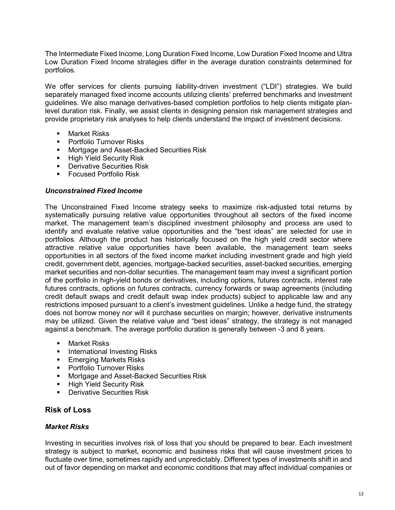The Intermediate Fixed Income, Long Duration Fixed Income, Low Duration Fixed Income and Ultra Low Duration Fixed Income strategies differ in the average duration constraints determined for portfolios.

We offer services for clients pursuing liability-driven investment ("LDI") strategies. We build separately managed fixed income accounts utilizing clients' preferred benchmarks and investment guidelines. We also manage derivatives-based completion portfolios to help clients mitigate planlevel duration risk. Finally, we assist clients in designing pension risk management strategies and provide proprietary risk analyses to help clients understand the impact of investment decisions.

- Market Risks
- **Portfolio Turnover Risks**
- Mortgage and Asset-Backed Securities Risk
- **High Yield Security Risk**
- **Derivative Securities Risk**
- **Focused Portfolio Risk**

#### *Unconstrained Fixed Income*

The Unconstrained Fixed Income strategy seeks to maximize risk-adjusted total returns by systematically pursuing relative value opportunities throughout all sectors of the fixed income market. The management team's disciplined investment philosophy and process are used to identify and evaluate relative value opportunities and the "best ideas" are selected for use in portfolios. Although the product has historically focused on the high yield credit sector where attractive relative value opportunities have been available, the management team seeks opportunities in all sectors of the fixed income market including investment grade and high yield credit, government debt, agencies, mortgage-backed securities, asset-backed securities, emerging market securities and non-dollar securities. The management team may invest a significant portion of the portfolio in high-yield bonds or derivatives, including options, futures contracts, interest rate futures contracts, options on futures contracts, currency forwards or swap agreements (including credit default swaps and credit default swap index products) subject to applicable law and any restrictions imposed pursuant to a client's investment guidelines. Unlike a hedge fund, the strategy does not borrow money nor will it purchase securities on margin; however, derivative instruments may be utilized. Given the relative value and "best ideas" strategy, the strategy is not managed against a benchmark. The average portfolio duration is generally between -3 and 8 years.

- Market Risks
- **International Investing Risks**
- **Emerging Markets Risks**
- **Portfolio Turnover Risks**
- **Mortgage and Asset-Backed Securities Risk**
- High Yield Security Risk
- **Derivative Securities Risk**

#### **Risk of Loss**

#### *Market Risks*

Investing in securities involves risk of loss that you should be prepared to bear. Each investment strategy is subject to market, economic and business risks that will cause investment prices to fluctuate over time, sometimes rapidly and unpredictably. Different types of investments shift in and out of favor depending on market and economic conditions that may affect individual companies or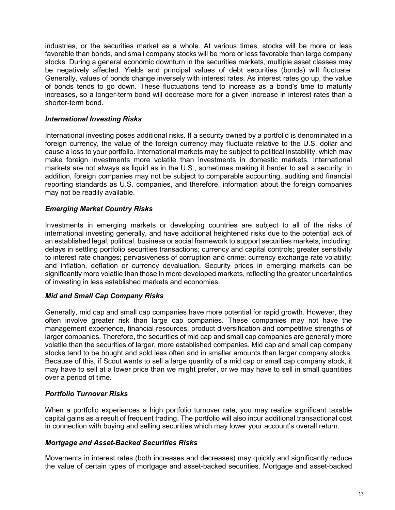industries, or the securities market as a whole. At various times, stocks will be more or less favorable than bonds, and small company stocks will be more or less favorable than large company stocks. During a general economic downturn in the securities markets, multiple asset classes may be negatively affected. Yields and principal values of debt securities (bonds) will fluctuate. Generally, values of bonds change inversely with interest rates. As interest rates go up, the value of bonds tends to go down. These fluctuations tend to increase as a bond's time to maturity increases, so a longer-term bond will decrease more for a given increase in interest rates than a shorter-term bond.

#### *International Investing Risks*

International investing poses additional risks. If a security owned by a portfolio is denominated in a foreign currency, the value of the foreign currency may fluctuate relative to the U.S. dollar and cause a loss to your portfolio. International markets may be subject to political instability, which may make foreign investments more volatile than investments in domestic markets. International markets are not always as liquid as in the U.S., sometimes making it harder to sell a security. In addition, foreign companies may not be subject to comparable accounting, auditing and financial reporting standards as U.S. companies, and therefore, information about the foreign companies may not be readily available.

#### *Emerging Market Country Risks*

Investments in emerging markets or developing countries are subject to all of the risks of international investing generally, and have additional heightened risks due to the potential lack of an established legal, political, business or social framework to support securities markets, including: delays in settling portfolio securities transactions; currency and capital controls; greater sensitivity to interest rate changes; pervasiveness of corruption and crime; currency exchange rate volatility; and inflation, deflation or currency devaluation. Security prices in emerging markets can be significantly more volatile than those in more developed markets, reflecting the greater uncertainties of investing in less established markets and economies.

#### *Mid and Small Cap Company Risks*

Generally, mid cap and small cap companies have more potential for rapid growth. However, they often involve greater risk than large cap companies. These companies may not have the management experience, financial resources, product diversification and competitive strengths of larger companies. Therefore, the securities of mid cap and small cap companies are generally more volatile than the securities of larger, more established companies. Mid cap and small cap company stocks tend to be bought and sold less often and in smaller amounts than larger company stocks. Because of this, if Scout wants to sell a large quantity of a mid cap or small cap company stock, it may have to sell at a lower price than we might prefer, or we may have to sell in small quantities over a period of time.

#### *Portfolio Turnover Risks*

When a portfolio experiences a high portfolio turnover rate, you may realize significant taxable capital gains as a result of frequent trading. The portfolio will also incur additional transactional cost in connection with buying and selling securities which may lower your account's overall return.

#### *Mortgage and Asset-Backed Securities Risks*

Movements in interest rates (both increases and decreases) may quickly and significantly reduce the value of certain types of mortgage and asset-backed securities. Mortgage and asset-backed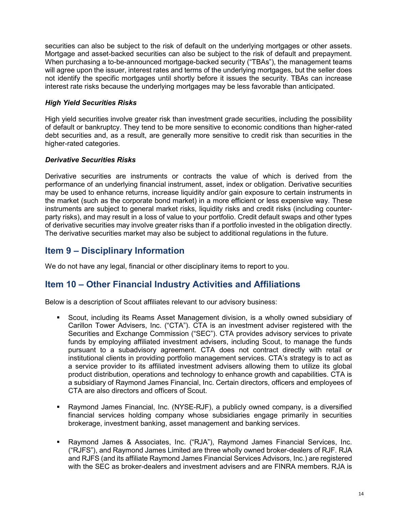securities can also be subject to the risk of default on the underlying mortgages or other assets. Mortgage and asset-backed securities can also be subject to the risk of default and prepayment. When purchasing a to-be-announced mortgage-backed security ("TBAs"), the management teams will agree upon the issuer, interest rates and terms of the underlying mortgages, but the seller does not identify the specific mortgages until shortly before it issues the security. TBAs can increase interest rate risks because the underlying mortgages may be less favorable than anticipated.

#### *High Yield Securities Risks*

High yield securities involve greater risk than investment grade securities, including the possibility of default or bankruptcy. They tend to be more sensitive to economic conditions than higher-rated debt securities and, as a result, are generally more sensitive to credit risk than securities in the higher-rated categories.

#### *Derivative Securities Risks*

Derivative securities are instruments or contracts the value of which is derived from the performance of an underlying financial instrument, asset, index or obligation. Derivative securities may be used to enhance returns, increase liquidity and/or gain exposure to certain instruments in the market (such as the corporate bond market) in a more efficient or less expensive way. These instruments are subject to general market risks, liquidity risks and credit risks (including counterparty risks), and may result in a loss of value to your portfolio. Credit default swaps and other types of derivative securities may involve greater risks than if a portfolio invested in the obligation directly. The derivative securities market may also be subject to additional regulations in the future.

# **Item 9 – Disciplinary Information**

We do not have any legal, financial or other disciplinary items to report to you.

# **Item 10 – Other Financial Industry Activities and Affiliations**

Below is a description of Scout affiliates relevant to our advisory business:

- Scout, including its Reams Asset Management division, is a wholly owned subsidiary of Carillon Tower Advisers, Inc. ("CTA"). CTA is an investment adviser registered with the Securities and Exchange Commission ("SEC"). CTA provides advisory services to private funds by employing affiliated investment advisers, including Scout, to manage the funds pursuant to a subadvisory agreement. CTA does not contract directly with retail or institutional clients in providing portfolio management services. CTA's strategy is to act as a service provider to its affiliated investment advisers allowing them to utilize its global product distribution, operations and technology to enhance growth and capabilities. CTA is a subsidiary of Raymond James Financial, Inc. Certain directors, officers and employees of CTA are also directors and officers of Scout.
- Raymond James Financial, Inc. (NYSE-RJF), a publicly owned company, is a diversified financial services holding company whose subsidiaries engage primarily in securities brokerage, investment banking, asset management and banking services.
- Raymond James & Associates, Inc. ("RJA"), Raymond James Financial Services, Inc. ("RJFS"), and Raymond James Limited are three wholly owned broker-dealers of RJF. RJA and RJFS (and its affiliate Raymond James Financial Services Advisors, Inc.) are registered with the SEC as broker-dealers and investment advisers and are FINRA members. RJA is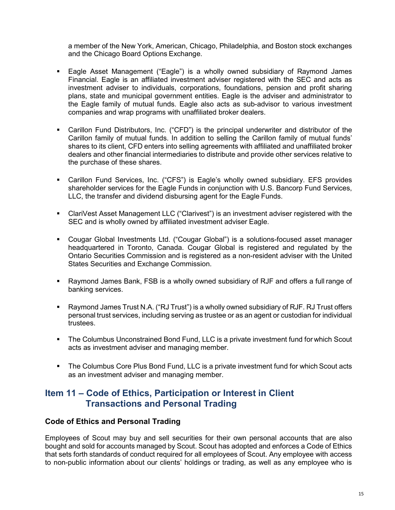a member of the New York, American, Chicago, Philadelphia, and Boston stock exchanges and the Chicago Board Options Exchange.

- Eagle Asset Management ("Eagle") is a wholly owned subsidiary of Raymond James Financial. Eagle is an affiliated investment adviser registered with the SEC and acts as investment adviser to individuals, corporations, foundations, pension and profit sharing plans, state and municipal government entities. Eagle is the adviser and administrator to the Eagle family of mutual funds. Eagle also acts as sub-advisor to various investment companies and wrap programs with unaffiliated broker dealers.
- Carillon Fund Distributors, Inc. ("CFD") is the principal underwriter and distributor of the Carillon family of mutual funds. In addition to selling the Carillon family of mutual funds' shares to its client, CFD enters into selling agreements with affiliated and unaffiliated broker dealers and other financial intermediaries to distribute and provide other services relative to the purchase of these shares.
- Carillon Fund Services, Inc. ("CFS") is Eagle's wholly owned subsidiary. EFS provides shareholder services for the Eagle Funds in conjunction with U.S. Bancorp Fund Services, LLC, the transfer and dividend disbursing agent for the Eagle Funds.
- ClariVest Asset Management LLC ("Clarivest") is an investment adviser registered with the SEC and is wholly owned by affiliated investment adviser Eagle.
- Cougar Global Investments Ltd. ("Cougar Global") is a solutions-focused asset manager headquartered in Toronto, Canada. Cougar Global is registered and regulated by the Ontario Securities Commission and is registered as a non-resident adviser with the United States Securities and Exchange Commission.
- Raymond James Bank, FSB is a wholly owned subsidiary of RJF and offers a full range of banking services.
- Raymond James Trust N.A. ("RJ Trust") is a wholly owned subsidiary of RJF. RJ Trust offers personal trust services, including serving as trustee or as an agent or custodian for individual trustees.
- The Columbus Unconstrained Bond Fund, LLC is a private investment fund for which Scout acts as investment adviser and managing member.
- The Columbus Core Plus Bond Fund, LLC is a private investment fund for which Scout acts as an investment adviser and managing member.

### **Item 11 – Code of Ethics, Participation or Interest in Client Transactions and Personal Trading**

#### **Code of Ethics and Personal Trading**

Employees of Scout may buy and sell securities for their own personal accounts that are also bought and sold for accounts managed by Scout. Scout has adopted and enforces a Code of Ethics that sets forth standards of conduct required for all employees of Scout. Any employee with access to non-public information about our clients' holdings or trading, as well as any employee who is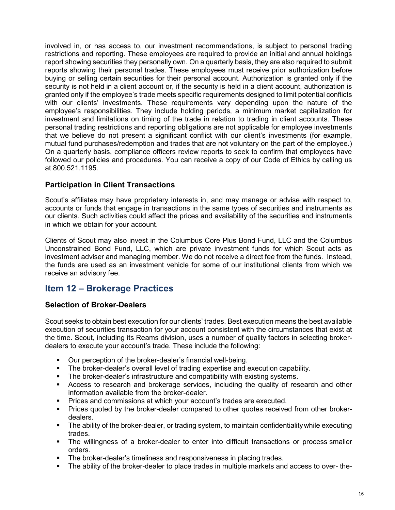involved in, or has access to, our investment recommendations, is subject to personal trading restrictions and reporting. These employees are required to provide an initial and annual holdings report showing securities they personally own. On a quarterly basis, they are also required to submit reports showing their personal trades. These employees must receive prior authorization before buying or selling certain securities for their personal account. Authorization is granted only if the security is not held in a client account or, if the security is held in a client account, authorization is granted only if the employee's trade meets specific requirements designed to limit potential conflicts with our clients' investments. These requirements vary depending upon the nature of the employee's responsibilities. They include holding periods, a minimum market capitalization for investment and limitations on timing of the trade in relation to trading in client accounts. These personal trading restrictions and reporting obligations are not applicable for employee investments that we believe do not present a significant conflict with our client's investments (for example, mutual fund purchases/redemption and trades that are not voluntary on the part of the employee.) On a quarterly basis, compliance officers review reports to seek to confirm that employees have followed our policies and procedures. You can receive a copy of our Code of Ethics by calling us at 800.521.1195.

#### **Participation in Client Transactions**

Scout's affiliates may have proprietary interests in, and may manage or advise with respect to, accounts or funds that engage in transactions in the same types of securities and instruments as our clients. Such activities could affect the prices and availability of the securities and instruments in which we obtain for your account.

Clients of Scout may also invest in the Columbus Core Plus Bond Fund, LLC and the Columbus Unconstrained Bond Fund, LLC, which are private investment funds for which Scout acts as investment adviser and managing member. We do not receive a direct fee from the funds. Instead, the funds are used as an investment vehicle for some of our institutional clients from which we receive an advisory fee.

# **Item 12 – Brokerage Practices**

#### **Selection of Broker-Dealers**

Scout seeks to obtain best execution for our clients' trades. Best execution means the best available execution of securities transaction for your account consistent with the circumstances that exist at the time. Scout, including its Reams division, uses a number of quality factors in selecting brokerdealers to execute your account's trade. These include the following:

- Our perception of the broker-dealer's financial well-being.
- The broker-dealer's overall level of trading expertise and execution capability.
- The broker-dealer's infrastructure and compatibility with existing systems.
- Access to research and brokerage services, including the quality of research and other information available from the broker-dealer.
- **Prices and commissions at which your account's trades are executed.**
- **Prices quoted by the broker-dealer compared to other quotes received from other broker**dealers.
- The ability of the broker-dealer, or trading system, to maintain confidentialitywhile executing trades.
- The willingness of a broker-dealer to enter into difficult transactions or process smaller orders.
- **The broker-dealer's timeliness and responsiveness in placing trades.**
- The ability of the broker-dealer to place trades in multiple markets and access to over- the-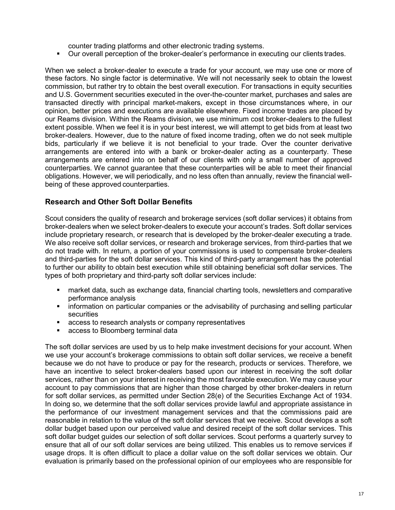counter trading platforms and other electronic trading systems.

Our overall perception of the broker-dealer's performance in executing our clients trades.

When we select a broker-dealer to execute a trade for your account, we may use one or more of these factors. No single factor is determinative. We will not necessarily seek to obtain the lowest commission, but rather try to obtain the best overall execution. For transactions in equity securities and U.S. Government securities executed in the over-the-counter market, purchases and sales are transacted directly with principal market-makers, except in those circumstances where, in our opinion, better prices and executions are available elsewhere. Fixed income trades are placed by our Reams division. Within the Reams division, we use minimum cost broker-dealers to the fullest extent possible. When we feel it is in your best interest, we will attempt to get bids from at least two broker-dealers. However, due to the nature of fixed income trading, often we do not seek multiple bids, particularly if we believe it is not beneficial to your trade. Over the counter derivative arrangements are entered into with a bank or broker-dealer acting as a counterparty. These arrangements are entered into on behalf of our clients with only a small number of approved counterparties. We cannot guarantee that these counterparties will be able to meet their financial obligations. However, we will periodically, and no less often than annually, review the financial wellbeing of these approved counterparties.

#### **Research and Other Soft Dollar Benefits**

Scout considers the quality of research and brokerage services (soft dollar services) it obtains from broker-dealers when we select broker-dealers to execute your account's trades. Soft dollar services include proprietary research, or research that is developed by the broker-dealer executing a trade. We also receive soft dollar services, or research and brokerage services, from third-parties that we do not trade with. In return, a portion of your commissions is used to compensate broker-dealers and third-parties for the soft dollar services. This kind of third-party arrangement has the potential to further our ability to obtain best execution while still obtaining beneficial soft dollar services. The types of both proprietary and third-party soft dollar services include:

- market data, such as exchange data, financial charting tools, newsletters and comparative performance analysis
- information on particular companies or the advisability of purchasing and selling particular **securities**
- access to research analysts or company representatives
- access to Bloomberg terminal data

The soft dollar services are used by us to help make investment decisions for your account. When we use your account's brokerage commissions to obtain soft dollar services, we receive a benefit because we do not have to produce or pay for the research, products or services. Therefore, we have an incentive to select broker-dealers based upon our interest in receiving the soft dollar services, rather than on your interest in receiving the most favorable execution. We may cause your account to pay commissions that are higher than those charged by other broker-dealers in return for soft dollar services, as permitted under Section 28(e) of the Securities Exchange Act of 1934. In doing so, we determine that the soft dollar services provide lawful and appropriate assistance in the performance of our investment management services and that the commissions paid are reasonable in relation to the value of the soft dollar services that we receive. Scout develops a soft dollar budget based upon our perceived value and desired receipt of the soft dollar services. This soft dollar budget guides our selection of soft dollar services. Scout performs a quarterly survey to ensure that all of our soft dollar services are being utilized. This enables us to remove services if usage drops. It is often difficult to place a dollar value on the soft dollar services we obtain. Our evaluation is primarily based on the professional opinion of our employees who are responsible for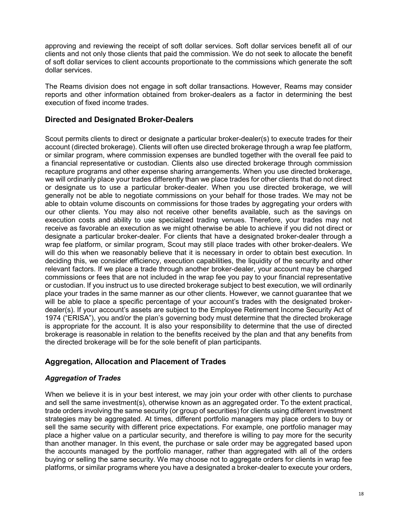approving and reviewing the receipt of soft dollar services. Soft dollar services benefit all of our clients and not only those clients that paid the commission. We do not seek to allocate the benefit of soft dollar services to client accounts proportionate to the commissions which generate the soft dollar services.

The Reams division does not engage in soft dollar transactions. However, Reams may consider reports and other information obtained from broker-dealers as a factor in determining the best execution of fixed income trades.

#### **Directed and Designated Broker-Dealers**

Scout permits clients to direct or designate a particular broker-dealer(s) to execute trades for their account (directed brokerage). Clients will often use directed brokerage through a wrap fee platform, or similar program, where commission expenses are bundled together with the overall fee paid to a financial representative or custodian. Clients also use directed brokerage through commission recapture programs and other expense sharing arrangements. When you use directed brokerage, we will ordinarily place your trades differently than we place trades for other clients that do not direct or designate us to use a particular broker-dealer. When you use directed brokerage, we will generally not be able to negotiate commissions on your behalf for those trades. We may not be able to obtain volume discounts on commissions for those trades by aggregating your orders with our other clients. You may also not receive other benefits available, such as the savings on execution costs and ability to use specialized trading venues. Therefore, your trades may not receive as favorable an execution as we might otherwise be able to achieve if you did not direct or designate a particular broker-dealer. For clients that have a designated broker-dealer through a wrap fee platform, or similar program, Scout may still place trades with other broker-dealers. We will do this when we reasonably believe that it is necessary in order to obtain best execution. In deciding this, we consider efficiency, execution capabilities, the liquidity of the security and other relevant factors. If we place a trade through another broker-dealer, your account may be charged commissions or fees that are not included in the wrap fee you pay to your financial representative or custodian. If you instruct us to use directed brokerage subject to best execution, we will ordinarily place your trades in the same manner as our other clients. However, we cannot guarantee that we will be able to place a specific percentage of your account's trades with the designated brokerdealer(s). If your account's assets are subject to the Employee Retirement Income Security Act of 1974 ("ERISA"), you and/or the plan's governing body must determine that the directed brokerage is appropriate for the account. It is also your responsibility to determine that the use of directed brokerage is reasonable in relation to the benefits received by the plan and that any benefits from the directed brokerage will be for the sole benefit of plan participants.

#### **Aggregation, Allocation and Placement of Trades**

#### *Aggregation of Trades*

When we believe it is in your best interest, we may join your order with other clients to purchase and sell the same investment(s), otherwise known as an aggregated order. To the extent practical, trade orders involving the same security (or group of securities) for clients using different investment strategies may be aggregated. At times, different portfolio managers may place orders to buy or sell the same security with different price expectations. For example, one portfolio manager may place a higher value on a particular security, and therefore is willing to pay more for the security than another manager. In this event, the purchase or sale order may be aggregated based upon the accounts managed by the portfolio manager, rather than aggregated with all of the orders buying or selling the same security. We may choose not to aggregate orders for clients in wrap fee platforms, or similar programs where you have a designated a broker-dealer to execute your orders,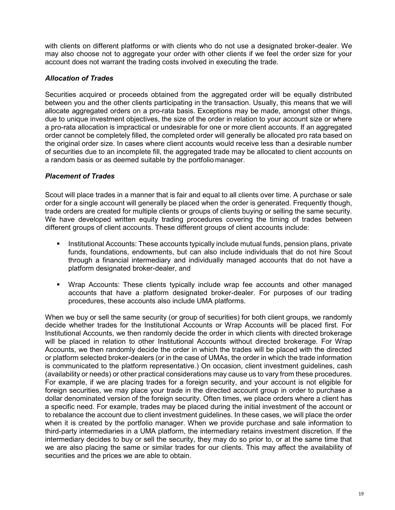with clients on different platforms or with clients who do not use a designated broker-dealer. We may also choose not to aggregate your order with other clients if we feel the order size for your account does not warrant the trading costs involved in executing the trade.

#### *Allocation of Trades*

Securities acquired or proceeds obtained from the aggregated order will be equally distributed between you and the other clients participating in the transaction. Usually, this means that we will allocate aggregated orders on a pro-rata basis. Exceptions may be made, amongst other things, due to unique investment objectives, the size of the order in relation to your account size or where a pro-rata allocation is impractical or undesirable for one or more client accounts. If an aggregated order cannot be completely filled, the completed order will generally be allocated pro rata based on the original order size. In cases where client accounts would receive less than a desirable number of securities due to an incomplete fill, the aggregated trade may be allocated to client accounts on a random basis or as deemed suitable by the portfolio manager.

#### *Placement of Trades*

Scout will place trades in a manner that is fair and equal to all clients over time. A purchase or sale order for a single account will generally be placed when the order is generated. Frequently though, trade orders are created for multiple clients or groups of clients buying or selling the same security. We have developed written equity trading procedures covering the timing of trades between different groups of client accounts. These different groups of client accounts include:

- Institutional Accounts: These accounts typically include mutual funds, pension plans, private funds, foundations, endowments, but can also include individuals that do not hire Scout through a financial intermediary and individually managed accounts that do not have a platform designated broker-dealer, and
- Wrap Accounts: These clients typically include wrap fee accounts and other managed accounts that have a platform designated broker-dealer. For purposes of our trading procedures, these accounts also include UMA platforms.

When we buy or sell the same security (or group of securities) for both client groups, we randomly decide whether trades for the Institutional Accounts or Wrap Accounts will be placed first. For Institutional Accounts, we then randomly decide the order in which clients with directed brokerage will be placed in relation to other Institutional Accounts without directed brokerage. For Wrap Accounts, we then randomly decide the order in which the trades will be placed with the directed or platform selected broker-dealers (or in the case of UMAs, the order in which the trade information is communicated to the platform representative.) On occasion, client investment guidelines, cash (availability or needs) or other practical considerations may cause us to vary from these procedures. For example, if we are placing trades for a foreign security, and your account is not eligible for foreign securities, we may place your trade in the directed account group in order to purchase a dollar denominated version of the foreign security. Often times, we place orders where a client has a specific need. For example, trades may be placed during the initial investment of the account or to rebalance the account due to client investment guidelines. In these cases, we will place the order when it is created by the portfolio manager. When we provide purchase and sale information to third-party intermediaries in a UMA platform, the intermediary retains investment discretion. If the intermediary decides to buy or sell the security, they may do so prior to, or at the same time that we are also placing the same or similar trades for our clients. This may affect the availability of securities and the prices we are able to obtain.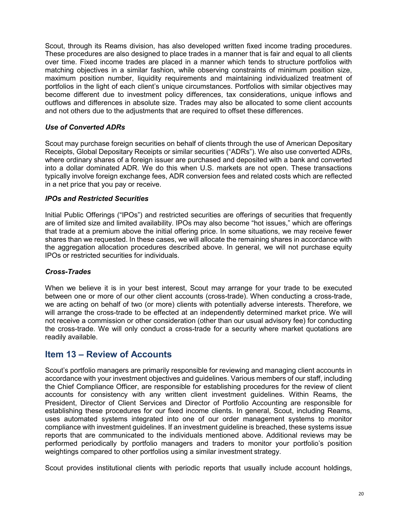Scout, through its Reams division, has also developed written fixed income trading procedures. These procedures are also designed to place trades in a manner that is fair and equal to all clients over time. Fixed income trades are placed in a manner which tends to structure portfolios with matching objectives in a similar fashion, while observing constraints of minimum position size, maximum position number, liquidity requirements and maintaining individualized treatment of portfolios in the light of each client's unique circumstances. Portfolios with similar objectives may become different due to investment policy differences, tax considerations, unique inflows and outflows and differences in absolute size. Trades may also be allocated to some client accounts and not others due to the adjustments that are required to offset these differences.

#### *Use of Converted ADRs*

Scout may purchase foreign securities on behalf of clients through the use of American Depositary Receipts, Global Depositary Receipts or similar securities ("ADRs"). We also use converted ADRs, where ordinary shares of a foreign issuer are purchased and deposited with a bank and converted into a dollar dominated ADR. We do this when U.S. markets are not open. These transactions typically involve foreign exchange fees, ADR conversion fees and related costs which are reflected in a net price that you pay or receive.

#### *IPOs and Restricted Securities*

Initial Public Offerings ("IPOs") and restricted securities are offerings of securities that frequently are of limited size and limited availability. IPOs may also become "hot issues," which are offerings that trade at a premium above the initial offering price. In some situations, we may receive fewer shares than we requested. In these cases, we will allocate the remaining shares in accordance with the aggregation allocation procedures described above. In general, we will not purchase equity IPOs or restricted securities for individuals.

#### *Cross-Trades*

When we believe it is in your best interest, Scout may arrange for your trade to be executed between one or more of our other client accounts (cross-trade). When conducting a cross-trade, we are acting on behalf of two (or more) clients with potentially adverse interests. Therefore, we will arrange the cross-trade to be effected at an independently determined market price. We will not receive a commission or other consideration (other than our usual advisory fee) for conducting the cross-trade. We will only conduct a cross-trade for a security where market quotations are readily available.

### **Item 13 – Review of Accounts**

Scout's portfolio managers are primarily responsible for reviewing and managing client accounts in accordance with your investment objectives and guidelines. Various members of our staff, including the Chief Compliance Officer, are responsible for establishing procedures for the review of client accounts for consistency with any written client investment guidelines. Within Reams, the President, Director of Client Services and Director of Portfolio Accounting are responsible for establishing these procedures for our fixed income clients. In general, Scout, including Reams, uses automated systems integrated into one of our order management systems to monitor compliance with investment guidelines. If an investment guideline is breached, these systems issue reports that are communicated to the individuals mentioned above. Additional reviews may be performed periodically by portfolio managers and traders to monitor your portfolio's position weightings compared to other portfolios using a similar investment strategy.

Scout provides institutional clients with periodic reports that usually include account holdings,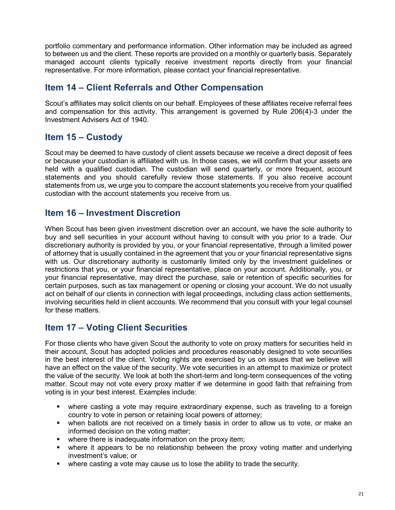portfolio commentary and performance information. Other information may be included as agreed to between us and the client. These reports are provided on a monthly or quarterly basis. Separately managed account clients typically receive investment reports directly from your financial representative. For more information, please contact your financial representative.

# **Item 14 – Client Referrals and Other Compensation**

Scout's affiliates may solicit clients on our behalf. Employees of these affiliates receive referral fees and compensation for this activity. This arrangement is governed by Rule 206(4)-3 under the Investment Advisers Act of 1940.

# **Item 15 – Custody**

Scout may be deemed to have custody of client assets because we receive a direct deposit of fees or because your custodian is affiliated with us. In those cases, we will confirm that your assets are held with a qualified custodian. The custodian will send quarterly, or more frequent, account statements and you should carefully review those statements. If you also receive account statements from us, we urge you to compare the account statements you receive from your qualified custodian with the account statements you receive from us.

# **Item 16 – Investment Discretion**

When Scout has been given investment discretion over an account, we have the sole authority to buy and sell securities in your account without having to consult with you prior to a trade. Our discretionary authority is provided by you, or your financial representative, through a limited power of attorney that is usually contained in the agreement that you or your financial representative signs with us. Our discretionary authority is customarily limited only by the investment guidelines or restrictions that you, or your financial representative, place on your account. Additionally, you, or your financial representative, may direct the purchase, sale or retention of specific securities for certain purposes, such as tax management or opening or closing your account. We do not usually act on behalf of our clients in connection with legal proceedings, including class action settlements, involving securities held in client accounts. We recommend that you consult with your legal counsel for these matters.

# **Item 17 – Voting Client Securities**

For those clients who have given Scout the authority to vote on proxy matters for securities held in their account, Scout has adopted policies and procedures reasonably designed to vote securities in the best interest of the client. Voting rights are exercised by us on issues that we believe will have an effect on the value of the security. We vote securities in an attempt to maximize or protect the value of the security. We look at both the short-term and long-term consequences of the voting matter. Scout may not vote every proxy matter if we determine in good faith that refraining from voting is in your best interest. Examples include:

- where casting a vote may require extraordinary expense, such as traveling to a foreign country to vote in person or retaining local powers of attorney;
- when ballots are not received on a timely basis in order to allow us to vote, or make an informed decision on the voting matter;
- **•** where there is inadequate information on the proxy item;
- where it appears to be no relationship between the proxy voting matter and underlying investment's value; or
- where casting a vote may cause us to lose the ability to trade the security.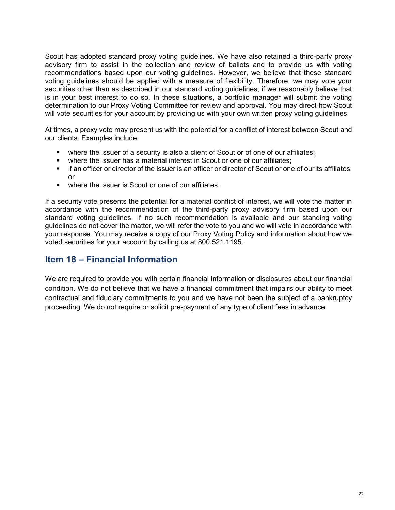Scout has adopted standard proxy voting guidelines. We have also retained a third-party proxy advisory firm to assist in the collection and review of ballots and to provide us with voting recommendations based upon our voting guidelines. However, we believe that these standard voting guidelines should be applied with a measure of flexibility. Therefore, we may vote your securities other than as described in our standard voting quidelines, if we reasonably believe that is in your best interest to do so. In these situations, a portfolio manager will submit the voting determination to our Proxy Voting Committee for review and approval. You may direct how Scout will vote securities for your account by providing us with your own written proxy voting guidelines.

At times, a proxy vote may present us with the potential for a conflict of interest between Scout and our clients. Examples include:

- where the issuer of a security is also a client of Scout or of one of our affiliates;
- where the issuer has a material interest in Scout or one of our affiliates:
- **F** if an officer or director of the issuer is an officer or director of Scout or one of ourits affiliates; or
- **•** where the issuer is Scout or one of our affiliates.

If a security vote presents the potential for a material conflict of interest, we will vote the matter in accordance with the recommendation of the third-party proxy advisory firm based upon our standard voting guidelines. If no such recommendation is available and our standing voting guidelines do not cover the matter, we will refer the vote to you and we will vote in accordance with your response. You may receive a copy of our Proxy Voting Policy and information about how we voted securities for your account by calling us at 800.521.1195.

# **Item 18 – Financial Information**

We are required to provide you with certain financial information or disclosures about our financial condition. We do not believe that we have a financial commitment that impairs our ability to meet contractual and fiduciary commitments to you and we have not been the subject of a bankruptcy proceeding. We do not require or solicit pre-payment of any type of client fees in advance.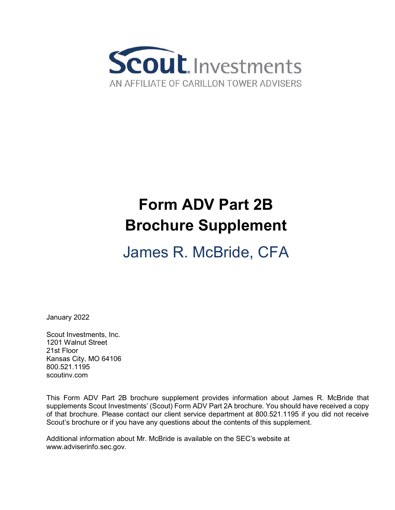

# **Form ADV Part 2B Brochure Supplement**

# James R. McBride, CFA

January 2022

Scout Investments, Inc. 1201 Walnut Street 21st Floor Kansas City, MO 64106 800.521.1195 scoutinv.com

This Form ADV Part 2B brochure supplement provides information about James R. McBride that supplements Scout Investments' (Scout) Form ADV Part 2A brochure. You should have received a copy of that brochure. Please contact our client service department at 800.521.1195 if you did not receive Scout's brochure or if you have any questions about the contents of this supplement.

Additional information about Mr. McBride is available on the SEC's website at [www.adviserinfo.sec.gov.](http://www.adviserinfo.sec.gov/)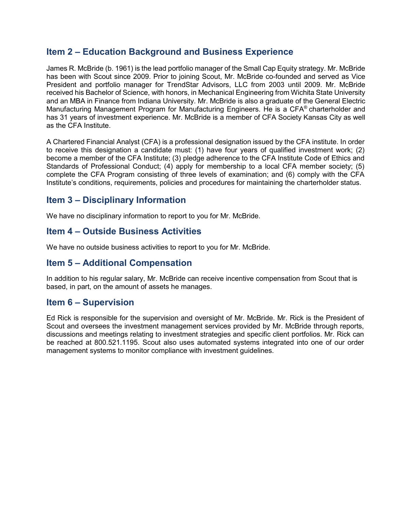# **Item 2 – Education Background and Business Experience**

James R. McBride (b. 1961) is the lead portfolio manager of the Small Cap Equity strategy. Mr. McBride has been with Scout since 2009. Prior to joining Scout, Mr. McBride co-founded and served as Vice President and portfolio manager for TrendStar Advisors, LLC from 2003 until 2009. Mr. McBride received his Bachelor of Science, with honors, in Mechanical Engineering from Wichita State University and an MBA in Finance from Indiana University. Mr. McBride is also a graduate of the General Electric Manufacturing Management Program for Manufacturing Engineers. He is a CFA® charterholder and has 31 years of investment experience. Mr. McBride is a member of CFA Society Kansas City as well as the CFA Institute.

A Chartered Financial Analyst (CFA) is a professional designation issued by the CFA institute. In order to receive this designation a candidate must: (1) have four years of qualified investment work; (2) become a member of the CFA Institute; (3) pledge adherence to the CFA Institute Code of Ethics and Standards of Professional Conduct; (4) apply for membership to a local CFA member society; (5) complete the CFA Program consisting of three levels of examination; and (6) comply with the CFA Institute's conditions, requirements, policies and procedures for maintaining the charterholder status.

# **Item 3 – Disciplinary Information**

We have no disciplinary information to report to you for Mr. McBride.

# **Item 4 – Outside Business Activities**

We have no outside business activities to report to you for Mr. McBride.

# **Item 5 – Additional Compensation**

In addition to his regular salary, Mr. McBride can receive incentive compensation from Scout that is based, in part, on the amount of assets he manages.

# **Item 6 – Supervision**

Ed Rick is responsible for the supervision and oversight of Mr. McBride. Mr. Rick is the President of Scout and oversees the investment management services provided by Mr. McBride through reports, discussions and meetings relating to investment strategies and specific client portfolios. Mr. Rick can be reached at 800.521.1195. Scout also uses automated systems integrated into one of our order management systems to monitor compliance with investment guidelines.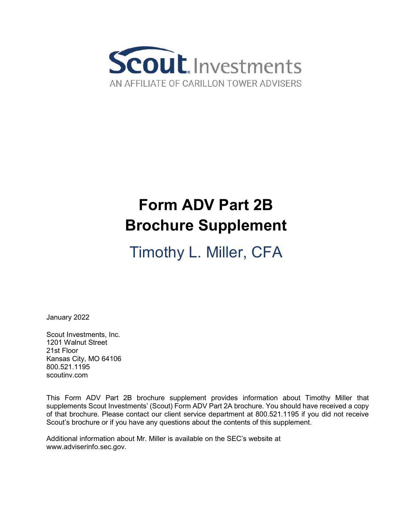

# **Form ADV Part 2B Brochure Supplement**

Timothy L. Miller, CFA

January 2022

Scout Investments, Inc. 1201 Walnut Street 21st Floor Kansas City, MO 64106 800.521.1195 scoutinv.com

This Form ADV Part 2B brochure supplement provides information about Timothy Miller that supplements Scout Investments' (Scout) Form ADV Part 2A brochure. You should have received a copy of that brochure. Please contact our client service department at 800.521.1195 if you did not receive Scout's brochure or if you have any questions about the contents of this supplement.

Additional information about Mr. Miller is available on the SEC's website at [www.adviserinfo.sec.gov.](http://www.adviserinfo.sec.gov/)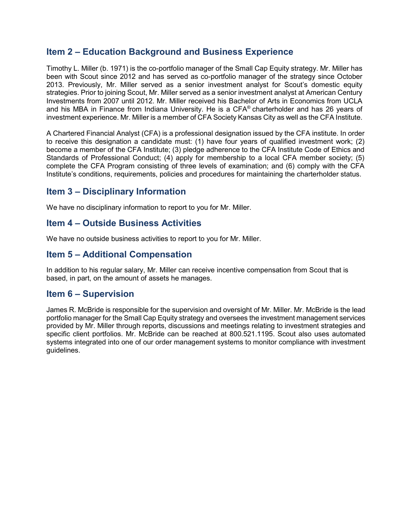# **Item 2 – Education Background and Business Experience**

Timothy L. Miller (b. 1971) is the co-portfolio manager of the Small Cap Equity strategy. Mr. Miller has been with Scout since 2012 and has served as co-portfolio manager of the strategy since October 2013. Previously, Mr. Miller served as a senior investment analyst for Scout's domestic equity strategies. Prior to joining Scout, Mr. Miller served as a senior investment analyst at American Century Investments from 2007 until 2012. Mr. Miller received his Bachelor of Arts in Economics from UCLA and his MBA in Finance from Indiana University. He is a CFA® charterholder and has 26 years of investment experience. Mr. Miller is a member of CFA Society Kansas City as well as the CFA Institute.

A Chartered Financial Analyst (CFA) is a professional designation issued by the CFA institute. In order to receive this designation a candidate must: (1) have four years of qualified investment work; (2) become a member of the CFA Institute; (3) pledge adherence to the CFA Institute Code of Ethics and Standards of Professional Conduct; (4) apply for membership to a local CFA member society; (5) complete the CFA Program consisting of three levels of examination; and (6) comply with the CFA Institute's conditions, requirements, policies and procedures for maintaining the charterholder status.

# **Item 3 – Disciplinary Information**

We have no disciplinary information to report to you for Mr. Miller.

### **Item 4 – Outside Business Activities**

We have no outside business activities to report to you for Mr. Miller.

# **Item 5 – Additional Compensation**

In addition to his regular salary, Mr. Miller can receive incentive compensation from Scout that is based, in part, on the amount of assets he manages.

# **Item 6 – Supervision**

James R. McBride is responsible for the supervision and oversight of Mr. Miller. Mr. McBride is the lead portfolio manager for the Small Cap Equity strategy and oversees the investment management services provided by Mr. Miller through reports, discussions and meetings relating to investment strategies and specific client portfolios. Mr. McBride can be reached at 800.521.1195. Scout also uses automated systems integrated into one of our order management systems to monitor compliance with investment guidelines.